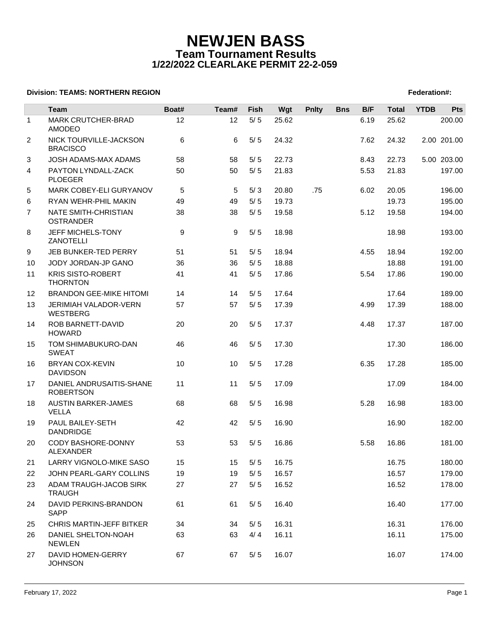# **NEWJEN BASS Team Tournament Results 1/22/2022 CLEARLAKE PERMIT 22-2-059**

### **Division: TEAMS: NORTHERN REGION FEDERATION FEDERATION: A SET AND RESIDENT SERVICES AND RESIDENT SERVICES**

|                | Team                                         | Boat# | Team# | <b>Fish</b> | Wgt   | <b>Pnlty</b> | <b>Bns</b> | B/F  | <b>Total</b> | <b>YTDB</b> | Pts         |
|----------------|----------------------------------------------|-------|-------|-------------|-------|--------------|------------|------|--------------|-------------|-------------|
| $\mathbf{1}$   | MARK CRUTCHER-BRAD<br>AMODEO                 | 12    | 12    | $5/5$       | 25.62 |              |            | 6.19 | 25.62        |             | 200.00      |
| $\overline{2}$ | NICK TOURVILLE-JACKSON<br><b>BRACISCO</b>    | 6     | 6     | 5/5         | 24.32 |              |            | 7.62 | 24.32        |             | 2.00 201.00 |
| 3              | <b>JOSH ADAMS-MAX ADAMS</b>                  | 58    | 58    | 5/5         | 22.73 |              |            | 8.43 | 22.73        |             | 5.00 203.00 |
| 4              | PAYTON LYNDALL-ZACK<br><b>PLOEGER</b>        | 50    | 50    | $5/5$       | 21.83 |              |            | 5.53 | 21.83        |             | 197.00      |
| 5              | MARK COBEY-ELI GURYANOV                      | 5     | 5     | 5/3         | 20.80 | .75          |            | 6.02 | 20.05        |             | 196.00      |
| 6              | RYAN WEHR-PHIL MAKIN                         | 49    | 49    | $5/5$       | 19.73 |              |            |      | 19.73        |             | 195.00      |
| $\overline{7}$ | NATE SMITH-CHRISTIAN<br><b>OSTRANDER</b>     | 38    | 38    | 5/5         | 19.58 |              |            | 5.12 | 19.58        |             | 194.00      |
| 8              | JEFF MICHELS-TONY<br><b>ZANOTELLI</b>        | 9     | 9     | 5/5         | 18.98 |              |            |      | 18.98        |             | 193.00      |
| 9              | JEB BUNKER-TED PERRY                         | 51    | 51    | 5/5         | 18.94 |              |            | 4.55 | 18.94        |             | 192.00      |
| 10             | JODY JORDAN-JP GANO                          | 36    | 36    | 5/5         | 18.88 |              |            |      | 18.88        |             | 191.00      |
| 11             | <b>KRIS SISTO-ROBERT</b><br><b>THORNTON</b>  | 41    | 41    | $5/5$       | 17.86 |              |            | 5.54 | 17.86        |             | 190.00      |
| 12             | <b>BRANDON GEE-MIKE HITOMI</b>               | 14    | 14    | 5/5         | 17.64 |              |            |      | 17.64        |             | 189.00      |
| 13             | JERIMIAH VALADOR-VERN<br><b>WESTBERG</b>     | 57    | 57    | 5/5         | 17.39 |              |            | 4.99 | 17.39        |             | 188.00      |
| 14             | ROB BARNETT-DAVID<br><b>HOWARD</b>           | 20    | 20    | $5/5$       | 17.37 |              |            | 4.48 | 17.37        |             | 187.00      |
| 15             | TOM SHIMABUKURO-DAN<br><b>SWEAT</b>          | 46    | 46    | $5/5$       | 17.30 |              |            |      | 17.30        |             | 186.00      |
| 16             | <b>BRYAN COX-KEVIN</b><br><b>DAVIDSON</b>    | 10    | 10    | 5/5         | 17.28 |              |            | 6.35 | 17.28        |             | 185.00      |
| 17             | DANIEL ANDRUSAITIS-SHANE<br><b>ROBERTSON</b> | 11    | 11    | 5/5         | 17.09 |              |            |      | 17.09        |             | 184.00      |
| 18             | <b>AUSTIN BARKER-JAMES</b><br><b>VELLA</b>   | 68    | 68    | 5/5         | 16.98 |              |            | 5.28 | 16.98        |             | 183.00      |
| 19             | PAUL BAILEY-SETH<br><b>DANDRIDGE</b>         | 42    | 42    | 5/5         | 16.90 |              |            |      | 16.90        |             | 182.00      |
| 20             | <b>CODY BASHORE-DONNY</b><br>ALEXANDER       | 53    | 53    | 5/5         | 16.86 |              |            | 5.58 | 16.86        |             | 181.00      |
| 21             | LARRY VIGNOLO-MIKE SASO                      | 15    |       | 15 5/5      | 16.75 |              |            |      | 16.75        |             | 180.00      |
| 22             | JOHN PEARL-GARY COLLINS                      | 19    | 19    | 5/5         | 16.57 |              |            |      | 16.57        |             | 179.00      |
| 23             | ADAM TRAUGH-JACOB SIRK<br><b>TRAUGH</b>      | 27    | 27    | 5/5         | 16.52 |              |            |      | 16.52        |             | 178.00      |
| 24             | DAVID PERKINS-BRANDON<br><b>SAPP</b>         | 61    | 61    | 5/5         | 16.40 |              |            |      | 16.40        |             | 177.00      |
| 25             | <b>CHRIS MARTIN-JEFF BITKER</b>              | 34    | 34    | 5/5         | 16.31 |              |            |      | 16.31        |             | 176.00      |
| 26             | DANIEL SHELTON-NOAH<br><b>NEWLEN</b>         | 63    | 63    | 4/4         | 16.11 |              |            |      | 16.11        |             | 175.00      |
| 27             | DAVID HOMEN-GERRY<br><b>JOHNSON</b>          | 67    | 67    | 5/5         | 16.07 |              |            |      | 16.07        |             | 174.00      |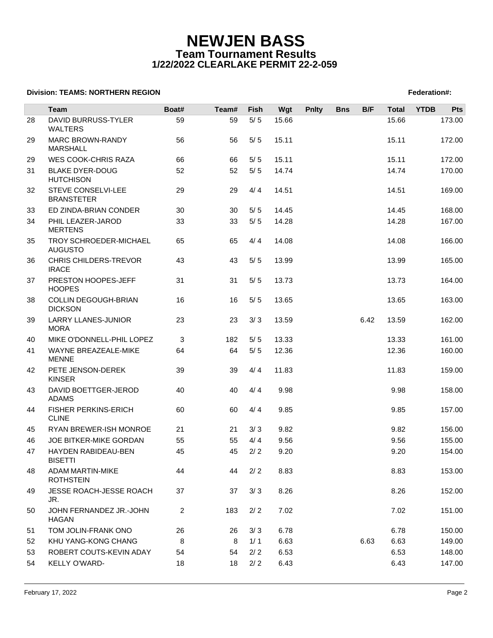# **NEWJEN BASS Team Tournament Results 1/22/2022 CLEARLAKE PERMIT 22-2-059**

### **Division: TEAMS: NORTHERN REGION FEDERATION FEDERATION: A SET AND RESIDENT SERVICES AND RESIDENT SERVICES**

|    | Team                                         | Boat# | Team# | Fish  | Wgt   | <b>Pnlty</b> | <b>Bns</b> | B/F  | <b>Total</b> | <b>YTDB</b> | Pts    |
|----|----------------------------------------------|-------|-------|-------|-------|--------------|------------|------|--------------|-------------|--------|
| 28 | DAVID BURRUSS-TYLER<br><b>WALTERS</b>        | 59    | 59    | $5/5$ | 15.66 |              |            |      | 15.66        |             | 173.00 |
| 29 | <b>MARC BROWN-RANDY</b><br><b>MARSHALL</b>   | 56    | 56    | 5/5   | 15.11 |              |            |      | 15.11        |             | 172.00 |
| 29 | WES COOK-CHRIS RAZA                          | 66    | 66    | 5/5   | 15.11 |              |            |      | 15.11        |             | 172.00 |
| 31 | <b>BLAKE DYER-DOUG</b><br><b>HUTCHISON</b>   | 52    | 52    | $5/5$ | 14.74 |              |            |      | 14.74        |             | 170.00 |
| 32 | STEVE CONSELVI-LEE<br><b>BRANSTETER</b>      | 29    | 29    | 4/4   | 14.51 |              |            |      | 14.51        |             | 169.00 |
| 33 | ED ZINDA-BRIAN CONDER                        | 30    | 30    | 5/5   | 14.45 |              |            |      | 14.45        |             | 168.00 |
| 34 | PHIL LEAZER-JAROD<br><b>MERTENS</b>          | 33    | 33    | 5/5   | 14.28 |              |            |      | 14.28        |             | 167.00 |
| 35 | TROY SCHROEDER-MICHAEL<br><b>AUGUSTO</b>     | 65    | 65    | 4/4   | 14.08 |              |            |      | 14.08        |             | 166.00 |
| 36 | <b>CHRIS CHILDERS-TREVOR</b><br><b>IRACE</b> | 43    | 43    | 5/5   | 13.99 |              |            |      | 13.99        |             | 165.00 |
| 37 | PRESTON HOOPES-JEFF<br><b>HOOPES</b>         | 31    | 31    | 5/5   | 13.73 |              |            |      | 13.73        |             | 164.00 |
| 38 | COLLIN DEGOUGH-BRIAN<br><b>DICKSON</b>       | 16    | 16    | 5/5   | 13.65 |              |            |      | 13.65        |             | 163.00 |
| 39 | LARRY LLANES-JUNIOR<br><b>MORA</b>           | 23    | 23    | 3/3   | 13.59 |              |            | 6.42 | 13.59        |             | 162.00 |
| 40 | MIKE O'DONNELL-PHIL LOPEZ                    | 3     | 182   | 5/5   | 13.33 |              |            |      | 13.33        |             | 161.00 |
| 41 | WAYNE BREAZEALE-MIKE<br><b>MENNE</b>         | 64    | 64    | 5/5   | 12.36 |              |            |      | 12.36        |             | 160.00 |
| 42 | PETE JENSON-DEREK<br><b>KINSER</b>           | 39    | 39    | 4/4   | 11.83 |              |            |      | 11.83        |             | 159.00 |
| 43 | DAVID BOETTGER-JEROD<br><b>ADAMS</b>         | 40    | 40    | 4/4   | 9.98  |              |            |      | 9.98         |             | 158.00 |
| 44 | <b>FISHER PERKINS-ERICH</b><br><b>CLINE</b>  | 60    | 60    | 4/4   | 9.85  |              |            |      | 9.85         |             | 157.00 |
| 45 | RYAN BREWER-ISH MONROE                       | 21    | 21    | 3/3   | 9.82  |              |            |      | 9.82         |             | 156.00 |
| 46 | JOE BITKER-MIKE GORDAN                       | 55    | 55    | 4/4   | 9.56  |              |            |      | 9.56         |             | 155.00 |
| 47 | HAYDEN RABIDEAU-BEN<br><b>BISETTI</b>        | 45    | 45    | 2/2   | 9.20  |              |            |      | 9.20         |             | 154.00 |
| 48 | <b>ADAM MARTIN-MIKE</b><br><b>ROTHSTEIN</b>  | 44    | 44    | 2/2   | 8.83  |              |            |      | 8.83         |             | 153.00 |
| 49 | JESSE ROACH-JESSE ROACH<br>JR.               | 37    | 37    | 3/3   | 8.26  |              |            |      | 8.26         |             | 152.00 |
| 50 | JOHN FERNANDEZ JR.-JOHN<br><b>HAGAN</b>      | 2     | 183   | 2/2   | 7.02  |              |            |      | 7.02         |             | 151.00 |
| 51 | TOM JOLIN-FRANK ONO                          | 26    | 26    | 3/3   | 6.78  |              |            |      | 6.78         |             | 150.00 |
| 52 | KHU YANG-KONG CHANG                          | 8     | 8     | 1/1   | 6.63  |              |            | 6.63 | 6.63         |             | 149.00 |
| 53 | ROBERT COUTS-KEVIN ADAY                      | 54    | 54    | 2/2   | 6.53  |              |            |      | 6.53         |             | 148.00 |
| 54 | KELLY O'WARD-                                | 18    | 18    | 2/2   | 6.43  |              |            |      | 6.43         |             | 147.00 |